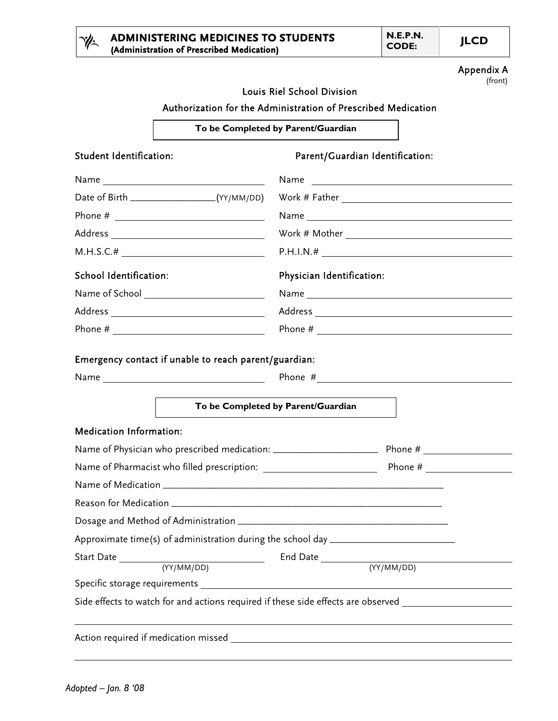|                                                            | <b>ADMINISTERING MEDICINES TO STUDENTS</b><br>(Administration of Prescribed Medication) | <b>N.E.P.N.</b><br><b>CODE:</b> | <b>JLCD</b>  |
|------------------------------------------------------------|-----------------------------------------------------------------------------------------|---------------------------------|--------------|
|                                                            |                                                                                         |                                 | Append<br>(f |
|                                                            | Louis Riel School Division                                                              |                                 |              |
|                                                            | Authorization for the Administration of Prescribed Medication                           |                                 |              |
|                                                            | To be Completed by Parent/Guardian                                                      |                                 |              |
| Student Identification:<br>Parent/Guardian Identification: |                                                                                         |                                 |              |
| $N = 2$                                                    | <b>Nome</b>                                                                             |                                 |              |

| Student Identification:                                                          | Parent/Guardian Identification:                                                                                                                                                                                                |
|----------------------------------------------------------------------------------|--------------------------------------------------------------------------------------------------------------------------------------------------------------------------------------------------------------------------------|
|                                                                                  | Name and the contract of the contract of the contract of the contract of the contract of the contract of the contract of the contract of the contract of the contract of the contract of the contract of the contract of the c |
|                                                                                  | Date of Birth _________________(YY/MM/DD) Work # Father _________________________                                                                                                                                              |
|                                                                                  |                                                                                                                                                                                                                                |
|                                                                                  | $Work # Mother \_\_ \_\_ \_\_ \_\_ \_\_ \_\_ \_\_ \_\_ \_\_ \_\_ \_\_ \_\_$                                                                                                                                                    |
|                                                                                  |                                                                                                                                                                                                                                |
| School Identification:                                                           | Physician Identification:                                                                                                                                                                                                      |
|                                                                                  |                                                                                                                                                                                                                                |
|                                                                                  |                                                                                                                                                                                                                                |
|                                                                                  |                                                                                                                                                                                                                                |
| Emergency contact if unable to reach parent/guardian:                            |                                                                                                                                                                                                                                |
|                                                                                  |                                                                                                                                                                                                                                |
|                                                                                  | To be Completed by Parent/Guardian                                                                                                                                                                                             |
| <b>Medication Information:</b>                                                   |                                                                                                                                                                                                                                |
|                                                                                  |                                                                                                                                                                                                                                |
|                                                                                  |                                                                                                                                                                                                                                |
|                                                                                  |                                                                                                                                                                                                                                |
|                                                                                  |                                                                                                                                                                                                                                |
|                                                                                  |                                                                                                                                                                                                                                |
| Approximate time(s) of administration during the school day ____________________ |                                                                                                                                                                                                                                |
|                                                                                  |                                                                                                                                                                                                                                |
| (YY/MM/DD)                                                                       | (YY/MM/DD)                                                                                                                                                                                                                     |
|                                                                                  |                                                                                                                                                                                                                                |
|                                                                                  | Side effects to watch for and actions required if these side effects are observed ____________________________                                                                                                                 |
|                                                                                  |                                                                                                                                                                                                                                |

Appendix A (front)

 $\overline{a}$